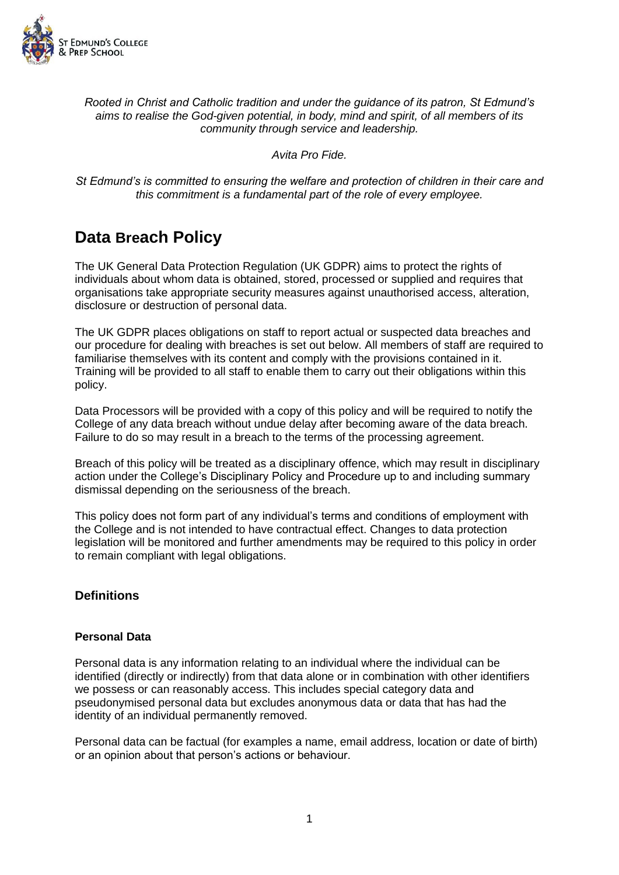

*Rooted in Christ and Catholic tradition and under the guidance of its patron, St Edmund's aims to realise the God-given potential, in body, mind and spirit, of all members of its community through service and leadership.*

*Avita Pro Fide.*

*St Edmund's is committed to ensuring the welfare and protection of children in their care and this commitment is a fundamental part of the role of every employee.*

# **Data Breach Policy**

The UK General Data Protection Regulation (UK GDPR) aims to protect the rights of individuals about whom data is obtained, stored, processed or supplied and requires that organisations take appropriate security measures against unauthorised access, alteration, disclosure or destruction of personal data.

The UK GDPR places obligations on staff to report actual or suspected data breaches and our procedure for dealing with breaches is set out below. All members of staff are required to familiarise themselves with its content and comply with the provisions contained in it. Training will be provided to all staff to enable them to carry out their obligations within this policy.

Data Processors will be provided with a copy of this policy and will be required to notify the College of any data breach without undue delay after becoming aware of the data breach. Failure to do so may result in a breach to the terms of the processing agreement.

Breach of this policy will be treated as a disciplinary offence, which may result in disciplinary action under the College's Disciplinary Policy and Procedure up to and including summary dismissal depending on the seriousness of the breach.

This policy does not form part of any individual's terms and conditions of employment with the College and is not intended to have contractual effect. Changes to data protection legislation will be monitored and further amendments may be required to this policy in order to remain compliant with legal obligations.

# **Definitions**

## **Personal Data**

Personal data is any information relating to an individual where the individual can be identified (directly or indirectly) from that data alone or in combination with other identifiers we possess or can reasonably access. This includes special category data and pseudonymised personal data but excludes anonymous data or data that has had the identity of an individual permanently removed.

Personal data can be factual (for examples a name, email address, location or date of birth) or an opinion about that person's actions or behaviour.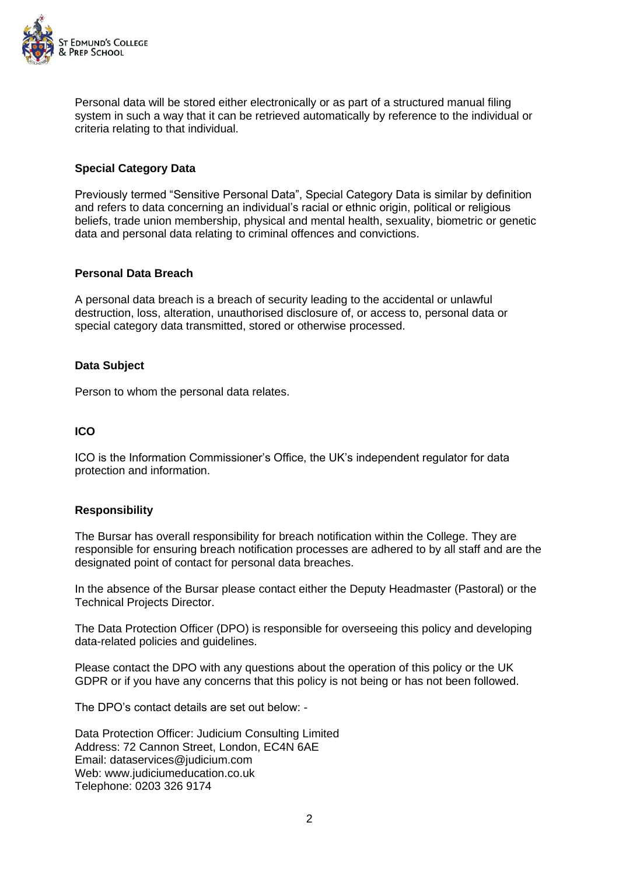

Personal data will be stored either electronically or as part of a structured manual filing system in such a way that it can be retrieved automatically by reference to the individual or criteria relating to that individual.

# **Special Category Data**

Previously termed "Sensitive Personal Data", Special Category Data is similar by definition and refers to data concerning an individual's racial or ethnic origin, political or religious beliefs, trade union membership, physical and mental health, sexuality, biometric or genetic data and personal data relating to criminal offences and convictions.

#### **Personal Data Breach**

A personal data breach is a breach of security leading to the accidental or unlawful destruction, loss, alteration, unauthorised disclosure of, or access to, personal data or special category data transmitted, stored or otherwise processed.

#### **Data Subject**

Person to whom the personal data relates.

## **ICO**

ICO is the Information Commissioner's Office, the UK's independent regulator for data protection and information.

## **Responsibility**

The Bursar has overall responsibility for breach notification within the College. They are responsible for ensuring breach notification processes are adhered to by all staff and are the designated point of contact for personal data breaches.

In the absence of the Bursar please contact either the Deputy Headmaster (Pastoral) or the Technical Projects Director.

The Data Protection Officer (DPO) is responsible for overseeing this policy and developing data-related policies and guidelines.

Please contact the DPO with any questions about the operation of this policy or the UK GDPR or if you have any concerns that this policy is not being or has not been followed.

The DPO's contact details are set out below: -

Data Protection Officer: Judicium Consulting Limited Address: 72 Cannon Street, London, EC4N 6AE Email: [dataservices@judicium.com](mailto:dataservices@judicium.com) Web: www.judiciumeducation.co.uk Telephone: 0203 326 9174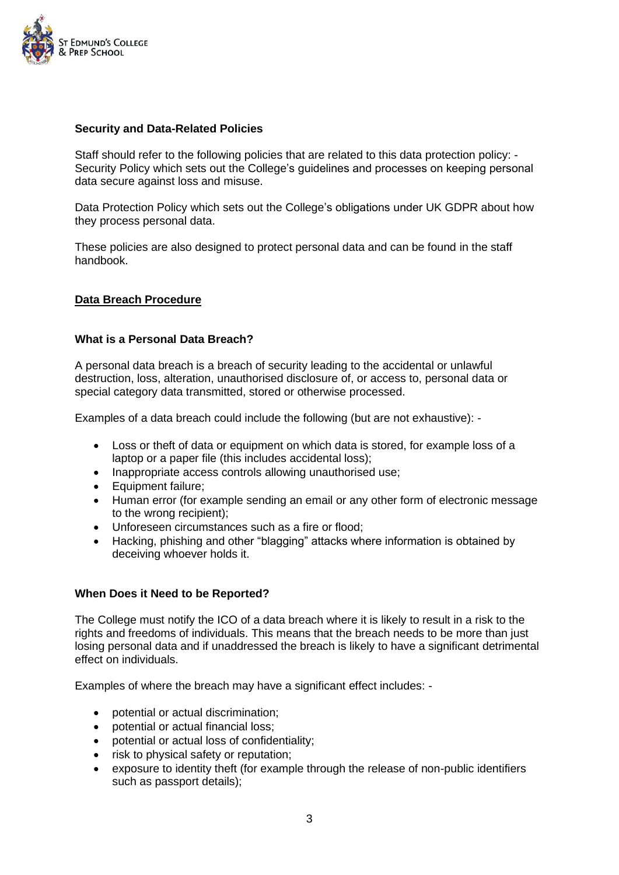

## **Security and Data-Related Policies**

Staff should refer to the following policies that are related to this data protection policy: - Security Policy which sets out the College's guidelines and processes on keeping personal data secure against loss and misuse.

Data Protection Policy which sets out the College's obligations under UK GDPR about how they process personal data.

These policies are also designed to protect personal data and can be found in the staff handbook.

# **Data Breach Procedure**

## **What is a Personal Data Breach?**

A personal data breach is a breach of security leading to the accidental or unlawful destruction, loss, alteration, unauthorised disclosure of, or access to, personal data or special category data transmitted, stored or otherwise processed.

Examples of a data breach could include the following (but are not exhaustive): -

- Loss or theft of data or equipment on which data is stored, for example loss of a laptop or a paper file (this includes accidental loss);
- Inappropriate access controls allowing unauthorised use;
- Equipment failure;
- Human error (for example sending an email or any other form of electronic message to the wrong recipient);
- Unforeseen circumstances such as a fire or flood;
- Hacking, phishing and other "blagging" attacks where information is obtained by deceiving whoever holds it.

## **When Does it Need to be Reported?**

The College must notify the ICO of a data breach where it is likely to result in a risk to the rights and freedoms of individuals. This means that the breach needs to be more than just losing personal data and if unaddressed the breach is likely to have a significant detrimental effect on individuals.

Examples of where the breach may have a significant effect includes: -

- potential or actual discrimination;
- potential or actual financial loss;
- potential or actual loss of confidentiality;
- risk to physical safety or reputation;
- exposure to identity theft (for example through the release of non-public identifiers such as passport details);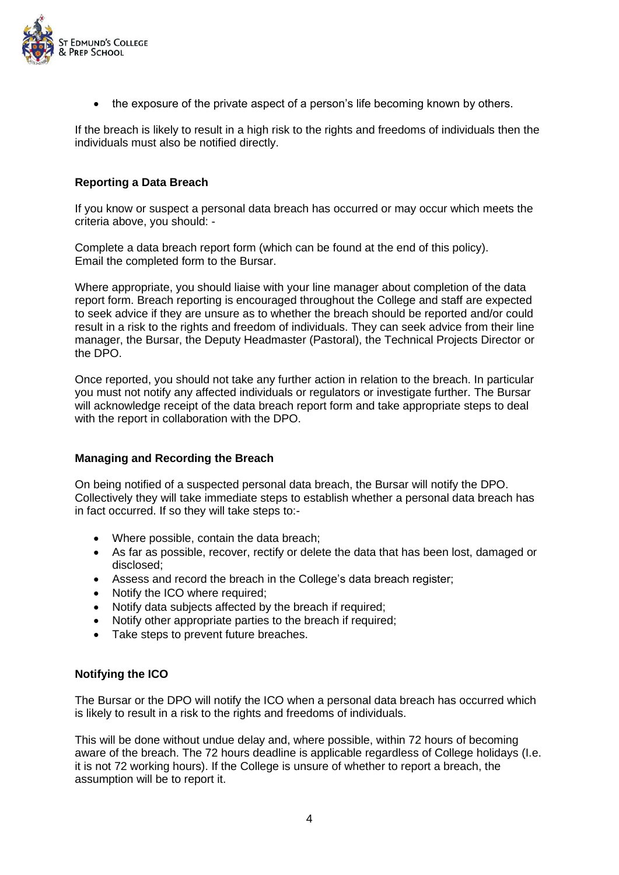

• the exposure of the private aspect of a person's life becoming known by others.

If the breach is likely to result in a high risk to the rights and freedoms of individuals then the individuals must also be notified directly.

## **Reporting a Data Breach**

If you know or suspect a personal data breach has occurred or may occur which meets the criteria above, you should: -

Complete a data breach report form (which can be found at the end of this policy). Email the completed form to the Bursar.

Where appropriate, you should liaise with your line manager about completion of the data report form. Breach reporting is encouraged throughout the College and staff are expected to seek advice if they are unsure as to whether the breach should be reported and/or could result in a risk to the rights and freedom of individuals. They can seek advice from their line manager, the Bursar, the Deputy Headmaster (Pastoral), the Technical Projects Director or the DPO.

Once reported, you should not take any further action in relation to the breach. In particular you must not notify any affected individuals or regulators or investigate further. The Bursar will acknowledge receipt of the data breach report form and take appropriate steps to deal with the report in collaboration with the DPO.

## **Managing and Recording the Breach**

On being notified of a suspected personal data breach, the Bursar will notify the DPO. Collectively they will take immediate steps to establish whether a personal data breach has in fact occurred. If so they will take steps to:-

- Where possible, contain the data breach;
- As far as possible, recover, rectify or delete the data that has been lost, damaged or disclosed;
- Assess and record the breach in the College's data breach register;
- Notify the ICO where required;
- Notify data subjects affected by the breach if required;
- Notify other appropriate parties to the breach if required;
- Take steps to prevent future breaches.

## **Notifying the ICO**

The Bursar or the DPO will notify the ICO when a personal data breach has occurred which is likely to result in a risk to the rights and freedoms of individuals.

This will be done without undue delay and, where possible, within 72 hours of becoming aware of the breach. The 72 hours deadline is applicable regardless of College holidays (I.e. it is not 72 working hours). If the College is unsure of whether to report a breach, the assumption will be to report it.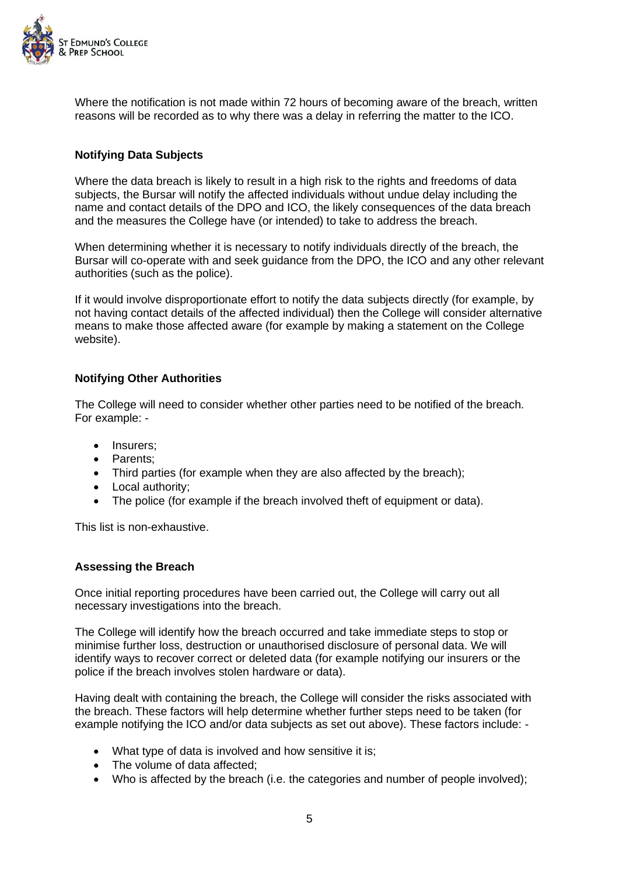

Where the notification is not made within 72 hours of becoming aware of the breach, written reasons will be recorded as to why there was a delay in referring the matter to the ICO.

# **Notifying Data Subjects**

Where the data breach is likely to result in a high risk to the rights and freedoms of data subjects, the Bursar will notify the affected individuals without undue delay including the name and contact details of the DPO and ICO, the likely consequences of the data breach and the measures the College have (or intended) to take to address the breach.

When determining whether it is necessary to notify individuals directly of the breach, the Bursar will co-operate with and seek guidance from the DPO, the ICO and any other relevant authorities (such as the police).

If it would involve disproportionate effort to notify the data subjects directly (for example, by not having contact details of the affected individual) then the College will consider alternative means to make those affected aware (for example by making a statement on the College website).

# **Notifying Other Authorities**

The College will need to consider whether other parties need to be notified of the breach. For example: -

- Insurers;
- Parents;
- Third parties (for example when they are also affected by the breach);
- Local authority:
- The police (for example if the breach involved theft of equipment or data).

This list is non-exhaustive.

#### **Assessing the Breach**

Once initial reporting procedures have been carried out, the College will carry out all necessary investigations into the breach.

The College will identify how the breach occurred and take immediate steps to stop or minimise further loss, destruction or unauthorised disclosure of personal data. We will identify ways to recover correct or deleted data (for example notifying our insurers or the police if the breach involves stolen hardware or data).

Having dealt with containing the breach, the College will consider the risks associated with the breach. These factors will help determine whether further steps need to be taken (for example notifying the ICO and/or data subjects as set out above). These factors include: -

- What type of data is involved and how sensitive it is:
- The volume of data affected:
- Who is affected by the breach (i.e. the categories and number of people involved):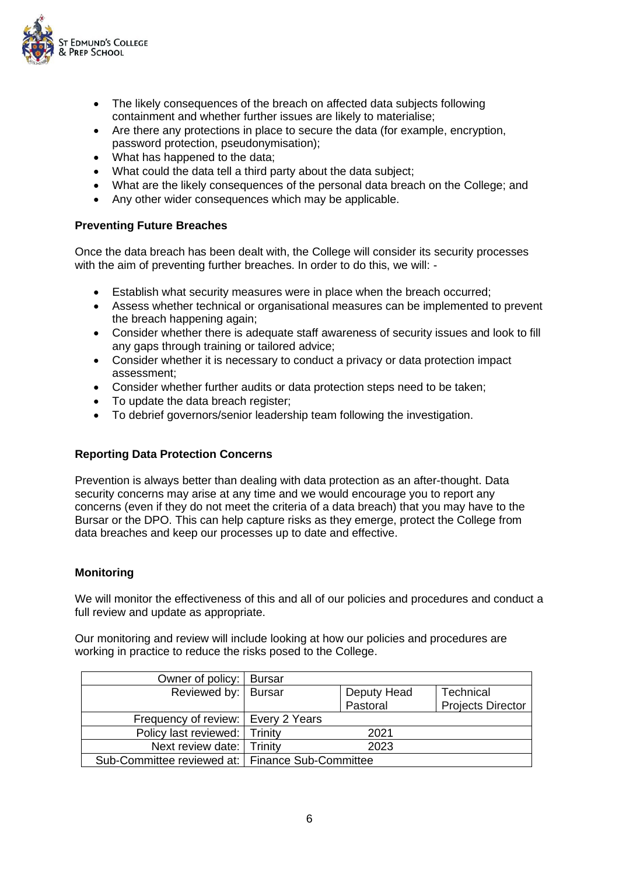

- The likely consequences of the breach on affected data subjects following containment and whether further issues are likely to materialise;
- Are there any protections in place to secure the data (for example, encryption, password protection, pseudonymisation);
- What has happened to the data;
- What could the data tell a third party about the data subject;
- What are the likely consequences of the personal data breach on the College; and
- Any other wider consequences which may be applicable.

## **Preventing Future Breaches**

Once the data breach has been dealt with, the College will consider its security processes with the aim of preventing further breaches. In order to do this, we will: -

- Establish what security measures were in place when the breach occurred;
- Assess whether technical or organisational measures can be implemented to prevent the breach happening again;
- Consider whether there is adequate staff awareness of security issues and look to fill any gaps through training or tailored advice;
- Consider whether it is necessary to conduct a privacy or data protection impact assessment;
- Consider whether further audits or data protection steps need to be taken;
- To update the data breach register;
- To debrief governors/senior leadership team following the investigation.

## **Reporting Data Protection Concerns**

Prevention is always better than dealing with data protection as an after-thought. Data security concerns may arise at any time and we would encourage you to report any concerns (even if they do not meet the criteria of a data breach) that you may have to the Bursar or the DPO. This can help capture risks as they emerge, protect the College from data breaches and keep our processes up to date and effective.

#### **Monitoring**

We will monitor the effectiveness of this and all of our policies and procedures and conduct a full review and update as appropriate.

Our monitoring and review will include looking at how our policies and procedures are working in practice to reduce the risks posed to the College.

| Owner of policy:   Bursar                          |  |             |                          |
|----------------------------------------------------|--|-------------|--------------------------|
| Reviewed by:   Bursar                              |  | Deputy Head | Technical                |
|                                                    |  | Pastoral    | <b>Projects Director</b> |
| Frequency of review:   Every 2 Years               |  |             |                          |
| Policy last reviewed:   Trinity                    |  | 2021        |                          |
| Next review date: Trinity                          |  | 2023        |                          |
| Sub-Committee reviewed at:   Finance Sub-Committee |  |             |                          |